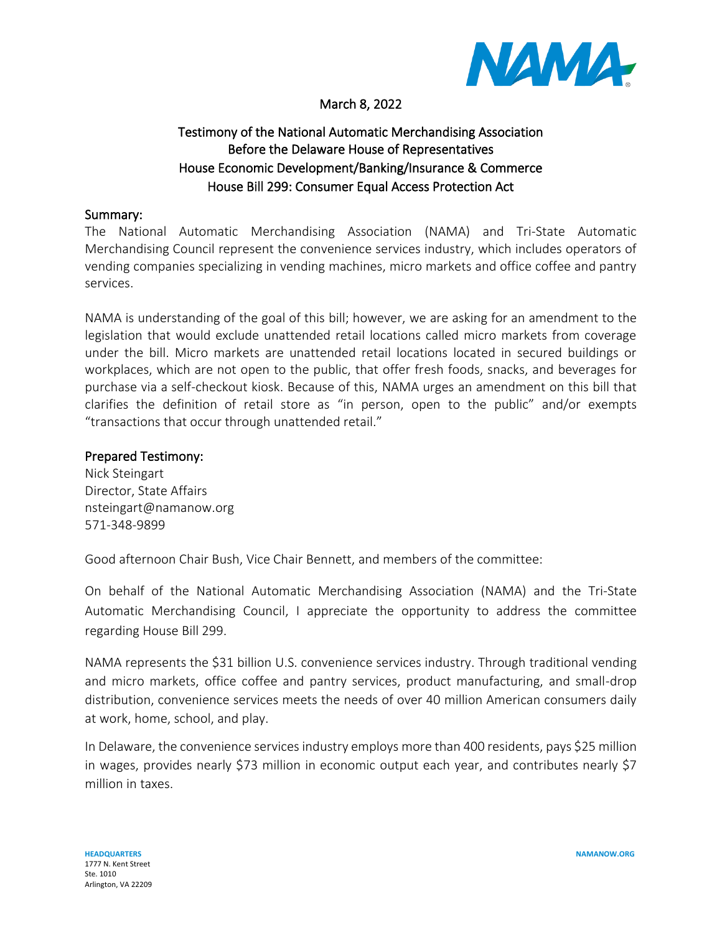

## March 8, 2022

## Testimony of the National Automatic Merchandising Association Before the Delaware House of Representatives House Economic Development/Banking/Insurance & Commerce House Bill 299: Consumer Equal Access Protection Act

## Summary:

The National Automatic Merchandising Association (NAMA) and Tri-State Automatic Merchandising Council represent the convenience services industry, which includes operators of vending companies specializing in vending machines, micro markets and office coffee and pantry services.

NAMA is understanding of the goal of this bill; however, we are asking for an amendment to the legislation that would exclude unattended retail locations called micro markets from coverage under the bill. Micro markets are unattended retail locations located in secured buildings or workplaces, which are not open to the public, that offer fresh foods, snacks, and beverages for purchase via a self-checkout kiosk. Because of this, NAMA urges an amendment on this bill that clarifies the definition of retail store as "in person, open to the public" and/or exempts "transactions that occur through unattended retail."

## Prepared Testimony:

Nick Steingart Director, State Affairs nsteingart@namanow.org 571-348-9899

Good afternoon Chair Bush, Vice Chair Bennett, and members of the committee:

On behalf of the National Automatic Merchandising Association (NAMA) and the Tri-State Automatic Merchandising Council, I appreciate the opportunity to address the committee regarding House Bill 299.

NAMA represents the \$31 billion U.S. convenience services industry. Through traditional vending and micro markets, office coffee and pantry services, product manufacturing, and small-drop distribution, convenience services meets the needs of over 40 million American consumers daily at work, home, school, and play.

In Delaware, the convenience services industry employs more than 400 residents, pays \$25 million in wages, provides nearly \$73 million in economic output each year, and contributes nearly \$7 million in taxes.